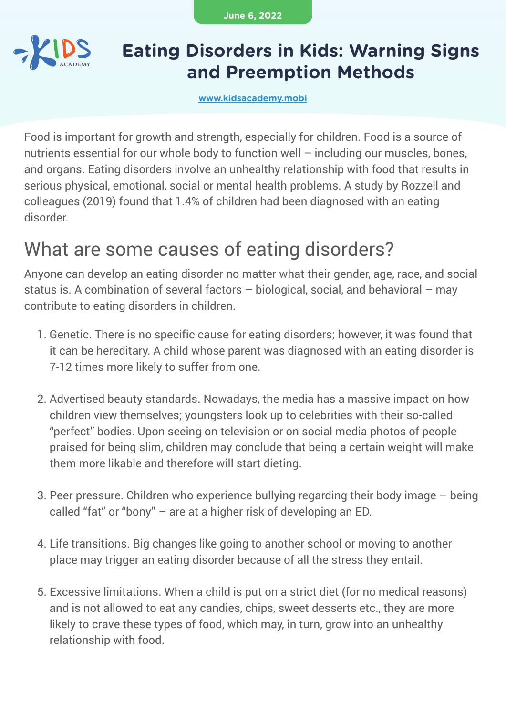**June 6, 2022**



### **Eating Disorders in Kids: Warning Signs and Preemption Methods**

**[www.kidsacademy.mobi](https://www.kidsacademy.mobi/)**

Food is important for growth and strength, especially for children. Food is a source of nutrients essential for our whole body to function well – including our muscles, bones, and organs. Eating disorders involve an unhealthy relationship with food that results in serious physical, emotional, social or mental health problems. A study by Rozzell and colleagues (2019) found that 1.4% of children had been diagnosed with an eating disorder.

### What are some causes of eating disorders?

Anyone can develop an eating disorder no matter what their gender, age, race, and social status is. A combination of several factors – biological, social, and behavioral – may contribute to eating disorders in children.

- 1. Genetic. There is no specific cause for eating disorders; however, it was found that it can be hereditary. A child whose parent was diagnosed with an eating disorder is 7-12 times more likely to suffer from one.
- Advertised beauty standards. Nowadays, the media has a massive impact on how 2. children view themselves; youngsters look up to celebrities with their so-called "perfect" bodies. Upon seeing on television or on social media photos of people praised for being slim, children may conclude that being a certain weight will make them more likable and therefore will start dieting.
- 3. Peer pressure. Children who experience bullying regarding their body image being called "fat" or "bony" – are at a higher risk of developing an ED.
- 4. Life transitions. Big changes like going to another school or moving to another place may trigger an eating disorder because of all the stress they entail.
- Excessive limitations. When a child is put on a strict diet (for no medical reasons) 5. and is not allowed to eat any candies, chips, sweet desserts etc., they are more likely to crave these types of food, which may, in turn, grow into an unhealthy relationship with food.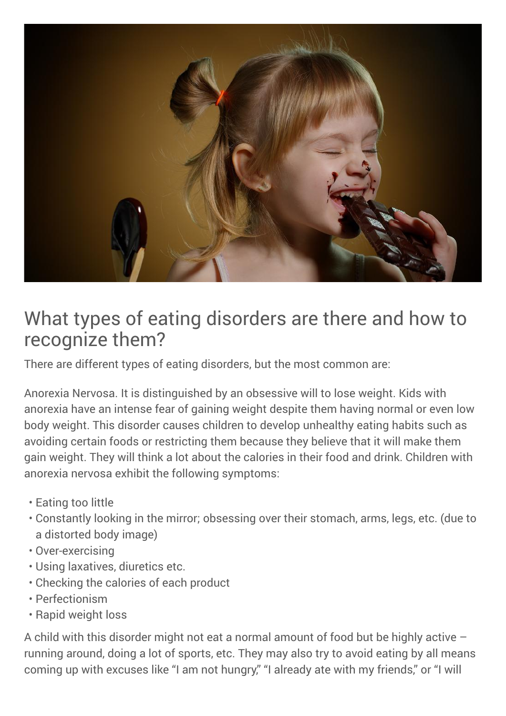

### What types of eating disorders are there and how to recognize them?

There are different types of eating disorders, but the most common are:

Anorexia Nervosa. It is distinguished by an obsessive will to lose weight. Kids with anorexia have an intense fear of gaining weight despite them having normal or even low body weight. This disorder causes children to develop unhealthy eating habits such as avoiding certain foods or restricting them because they believe that it will make them gain weight. They will think a lot about the calories in their food and drink. Children with anorexia nervosa exhibit the following symptoms:

- Eating too little •
- Constantly looking in the mirror; obsessing over their stomach, arms, legs, etc. (due to a distorted body image)
- Over-exercising •
- Using laxatives, diuretics etc. •
- Checking the calories of each product •
- Perfectionism •
- Rapid weight loss

A child with this disorder might not eat a normal amount of food but be highly active – running around, doing a lot of sports, etc. They may also try to avoid eating by all means coming up with excuses like "I am not hungry," "I already ate with my friends," or "I will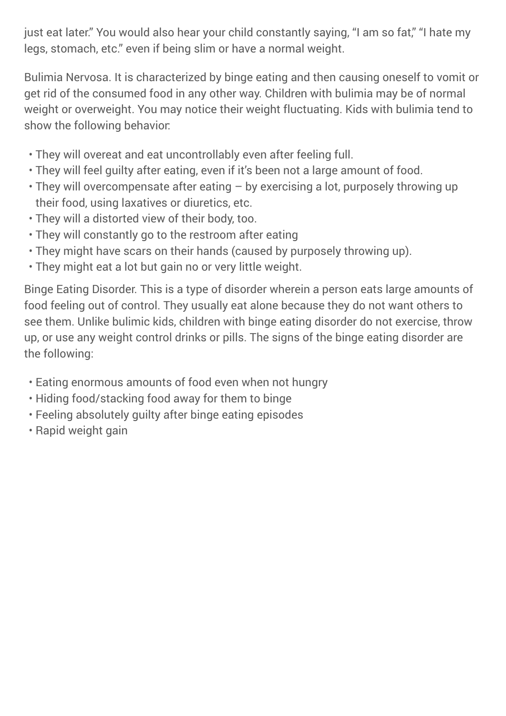just eat later." You would also hear your child constantly saying, "I am so fat," "I hate my legs, stomach, etc." even if being slim or have a normal weight.

Bulimia Nervosa. It is characterized by binge eating and then causing oneself to vomit or get rid of the consumed food in any other way. Children with bulimia may be of normal weight or overweight. You may notice their weight fluctuating. Kids with bulimia tend to show the following behavior:

- They will overeat and eat uncontrollably even after feeling full. •
- They will feel guilty after eating, even if it's been not a large amount of food. •
- They will overcompensate after eating by exercising a lot, purposely throwing up their food, using laxatives or diuretics, etc.
- They will a distorted view of their body, too. •
- They will constantly go to the restroom after eating •
- They might have scars on their hands (caused by purposely throwing up). •
- They might eat a lot but gain no or very little weight. •

Binge Eating Disorder. This is a type of disorder wherein a person eats large amounts of food feeling out of control. They usually eat alone because they do not want others to see them. Unlike bulimic kids, children with binge eating disorder do not exercise, throw up, or use any weight control drinks or pills. The signs of the binge eating disorder are the following:

- Eating enormous amounts of food even when not hungry •
- Hiding food/stacking food away for them to binge •
- Feeling absolutely guilty after binge eating episodes •
- Rapid weight gain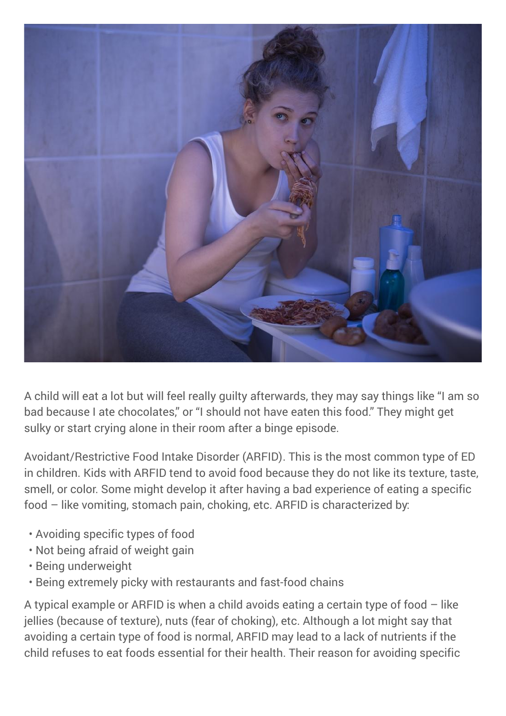

A child will eat a lot but will feel really guilty afterwards, they may say things like "I am so bad because I ate chocolates," or "I should not have eaten this food." They might get sulky or start crying alone in their room after a binge episode.

Avoidant/Restrictive Food Intake Disorder (ARFID). This is the most common type of ED in children. Kids with ARFID tend to avoid food because they do not like its texture, taste, smell, or color. Some might develop it after having a bad experience of eating a specific food – like vomiting, stomach pain, choking, etc. ARFID is characterized by:

- Avoiding specific types of food •
- Not being afraid of weight gain •
- Being underweight
- Being extremely picky with restaurants and fast-food chains •

A typical example or ARFID is when a child avoids eating a certain type of food – like jellies (because of texture), nuts (fear of choking), etc. Although a lot might say that avoiding a certain type of food is normal, ARFID may lead to a lack of nutrients if the child refuses to eat foods essential for their health. Their reason for avoiding specific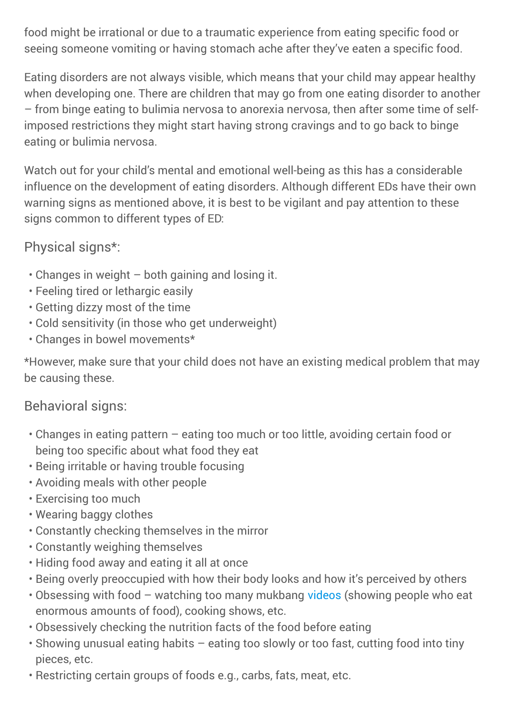food might be irrational or due to a traumatic experience from eating specific food or seeing someone vomiting or having stomach ache after they've eaten a specific food.

Eating disorders are not always visible, which means that your child may appear healthy when developing one. There are children that may go from one eating disorder to another – from binge eating to bulimia nervosa to anorexia nervosa, then after some time of selfimposed restrictions they might start having strong cravings and to go back to binge eating or bulimia nervosa.

Watch out for your child's mental and emotional well-being as this has a considerable influence on the development of eating disorders. Although different EDs have their own warning signs as mentioned above, it is best to be vigilant and pay attention to these signs common to different types of ED:

Physical signs\*:

- Changes in weight both gaining and losing it. •
- Feeling tired or lethargic easily •
- Getting dizzy most of the time •
- Cold sensitivity (in those who get underweight) •
- Changes in bowel movements\* •

\*However, make sure that your child does not have an existing medical problem that may be causing these.

#### Behavioral signs:

- Changes in eating pattern eating too much or too little, avoiding certain food or being too specific about what food they eat
- Being irritable or having trouble focusing
- Avoiding meals with other people •
- Exercising too much •
- Wearing baggy clothes •
- Constantly checking themselves in the mirror •
- Constantly weighing themselves •
- Hiding food away and eating it all at once
- Being overly preoccupied with how their body looks and how it's perceived by others •
- Obsessing with food watching too many mukbang [videos](https://www.kidsacademy.mobi/learning-videos/) (showing people who eat enormous amounts of food), cooking shows, etc.
- Obsessively checking the nutrition facts of the food before eating •
- Showing unusual eating habits eating too slowly or too fast, cutting food into tiny pieces, etc.
- Restricting certain groups of foods e.g., carbs, fats, meat, etc. •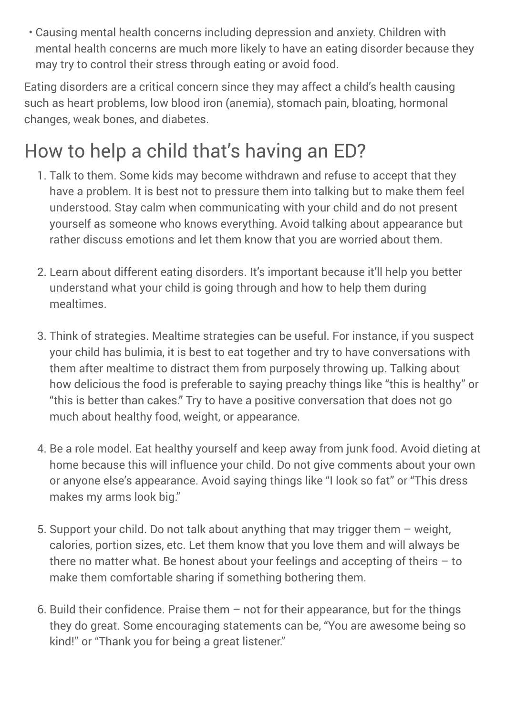Causing mental health concerns including depression and anxiety. Children with • mental health concerns are much more likely to have an eating disorder because they may try to control their stress through eating or avoid food.

Eating disorders are a critical concern since they may affect a child's health causing such as heart problems, low blood iron (anemia), stomach pain, bloating, hormonal changes, weak bones, and diabetes.

# How to help a child that's having an ED?

- 1. Talk to them. Some kids may become withdrawn and refuse to accept that they have a problem. It is best not to pressure them into talking but to make them feel understood. Stay calm when communicating with your child and do not present yourself as someone who knows everything. Avoid talking about appearance but rather discuss emotions and let them know that you are worried about them.
- Learn about different eating disorders. It's important because it'll help you better 2. understand what your child is going through and how to help them during mealtimes.
- Think of strategies. Mealtime strategies can be useful. For instance, if you suspect 3. your child has bulimia, it is best to eat together and try to have conversations with them after mealtime to distract them from purposely throwing up. Talking about how delicious the food is preferable to saying preachy things like "this is healthy" or "this is better than cakes." Try to have a positive conversation that does not go much about healthy food, weight, or appearance.
- 4. Be a role model. Eat healthy yourself and keep away from junk food. Avoid dieting at home because this will influence your child. Do not give comments about your own or anyone else's appearance. Avoid saying things like "I look so fat" or "This dress makes my arms look big."
- 5. Support your child. Do not talk about anything that may trigger them weight, calories, portion sizes, etc. Let them know that you love them and will always be there no matter what. Be honest about your feelings and accepting of theirs – to make them comfortable sharing if something bothering them.
- 6. Build their confidence. Praise them  $-$  not for their appearance, but for the things they do great. Some encouraging statements can be, "You are awesome being so kind!" or "Thank you for being a great listener."